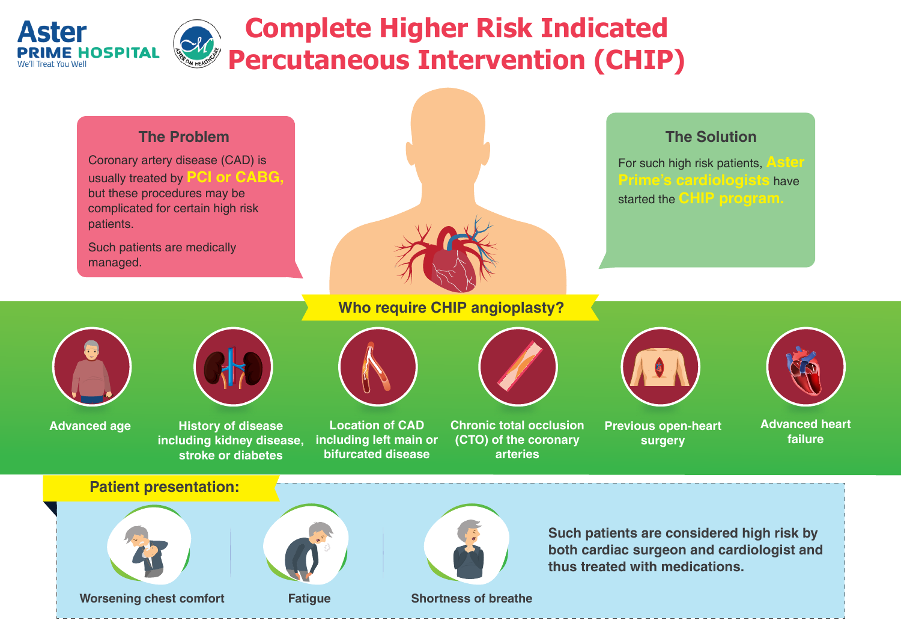



Coronary artery disease (CAD) is usually treated by **PCI or CABG,** but these procedures may be complicated for certain high risk patients.

Such patients are medically managed.



#### **The Problem**

For such high risk patients, **Aster Prime's cardiologists** have started the **CHIP program.** 

## **The Solution**

# **Who require CHIP angioplasty?**





**Advanced age History of disease including kidney disease, stroke or diabetes**

**Location of CAD** 

**including left main or bifurcated disease**

**Chronic total occlusion (CTO) of the coronary arteries**



**surgery**

**failure**

**Such patients are considered high risk by both cardiac surgeon and cardiologist and thus treated with medications. Worsening chest comfort <b>Fatigue Shortness of breathe Patient presentation:**